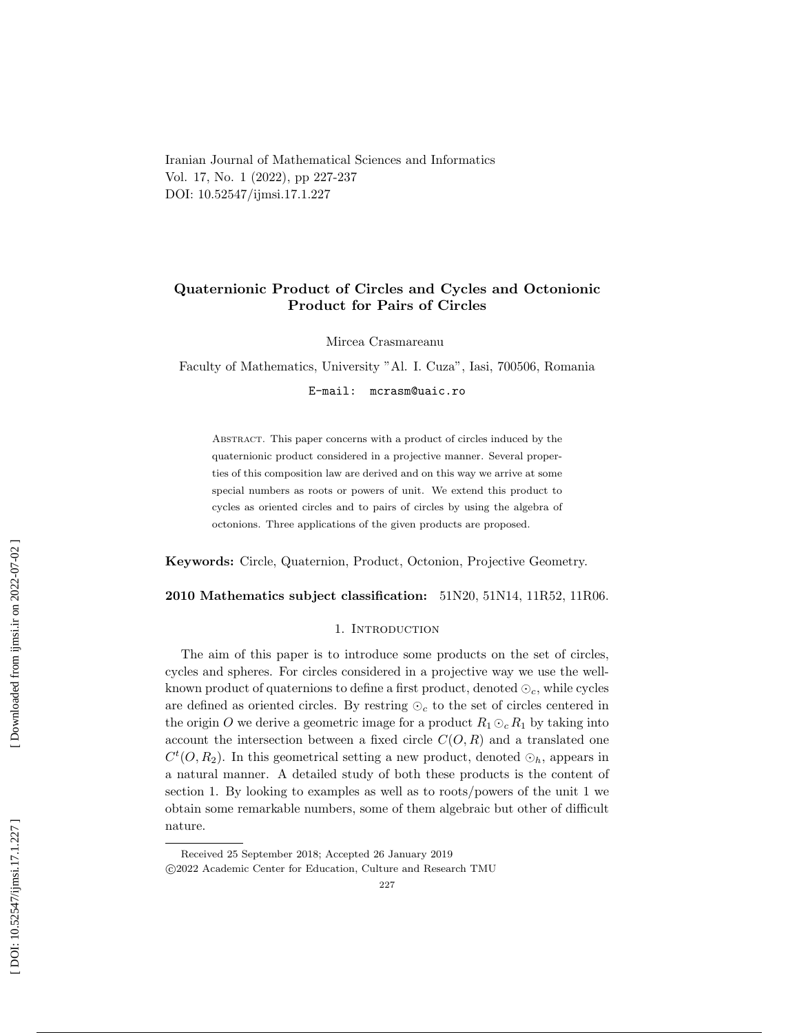Iranian Journal of Mathematical Sciences and Informatics Vol. 17, No. 1 (2022), pp 227-237 DOI: 10.52547/ijmsi.17.1.227

# Quaternionic Product of Circles and Cycles and Octonionic Product for Pairs of Circles

Mircea Crasmareanu

Faculty of Mathematics, University "Al. I. Cuza", Iasi, 700506, Romania

E-mail: mcrasm@uaic.ro

Abstract. This paper concerns with a product of circles induced by the quaternionic product considered in a projective manner. Several properties of this composition law are derived and on this way we arrive at some special numbers as roots or powers of unit. We extend this product to cycles as oriented circles and to pairs of circles by using the algebra of octonions. Three applications of the given products are proposed.

Keywords: Circle, Quaternion, Product, Octonion, Projective Geometry.

2010 Mathematics subject classification: 51N20, 51N14, 11R52, 11R06.

### 1. Introduction

The aim of this paper is to introduce some products on the set of circles, cycles and spheres. For circles considered in a projective way we use the wellknown product of quaternions to define a first product, denoted  $\odot_c$ , while cycles are defined as oriented circles. By restring  $\odot_c$  to the set of circles centered in the origin O we derive a geometric image for a product  $R_1 \odot_c R_1$  by taking into account the intersection between a fixed circle  $C(O, R)$  and a translated one  $C^t(0, R_2)$ . In this geometrical setting a new product, denoted  $\odot_h$ , appears in a natural manner. A detailed study of both these products is the content of section 1. By looking to examples as well as to roots/powers of the unit 1 we obtain some remarkable numbers, some of them algebraic but other of difficult nature.

Received 25 September 2018; Accepted 26 January 2019 c 2022 Academic Center for Education, Culture and Research TMU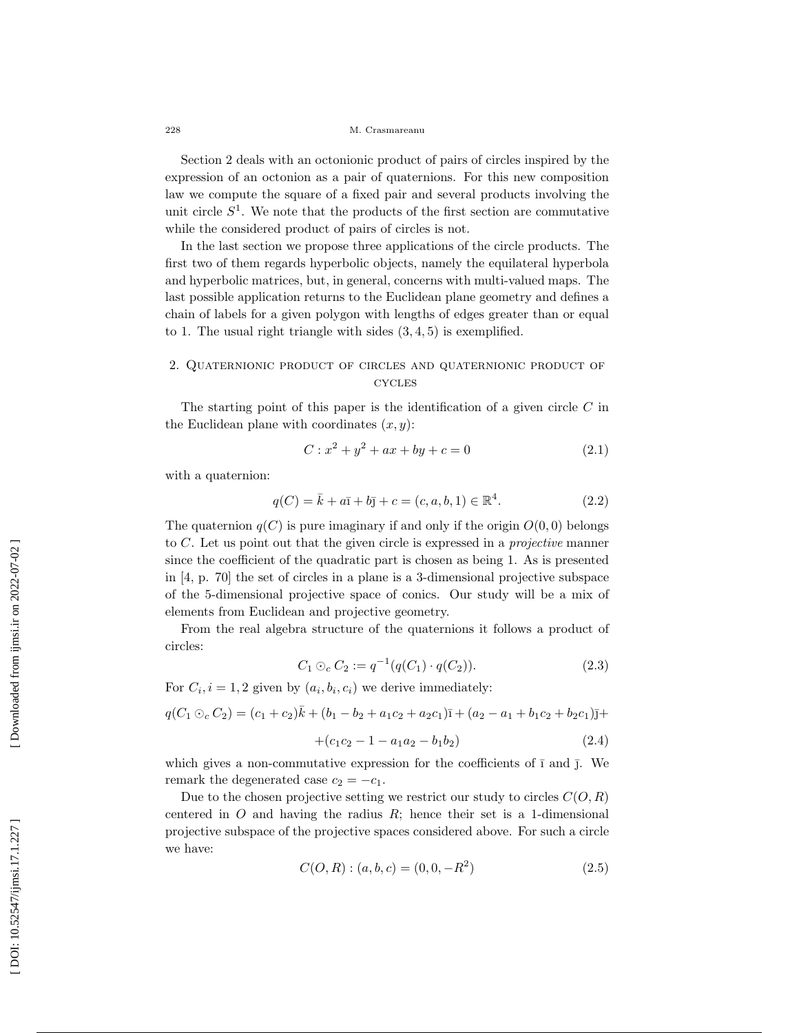228 M. Crasmareanu

Section 2 deals with an octonionic product of pairs of circles inspired by the expression of an octonion as a pair of quaternions. For this new composition law we compute the square of a fixed pair and several products involving the unit circle  $S<sup>1</sup>$ . We note that the products of the first section are commutative while the considered product of pairs of circles is not.

In the last section we propose three applications of the circle products. The first two of them regards hyperbolic objects, namely the equilateral hyperbola and hyperbolic matrices, but, in general, concerns with multi-valued maps. The last possible application returns to the Euclidean plane geometry and defines a chain of labels for a given polygon with lengths of edges greater than or equal to 1. The usual right triangle with sides  $(3, 4, 5)$  is exemplified.

## 2. Quaternionic product of circles and quaternionic product of cycles

The starting point of this paper is the identification of a given circle C in the Euclidean plane with coordinates  $(x, y)$ :

$$
C: x^2 + y^2 + ax + by + c = 0 \tag{2.1}
$$

with a quaternion:

$$
q(C) = \bar{k} + a\bar{i} + b\bar{j} + c = (c, a, b, 1) \in \mathbb{R}^4.
$$
 (2.2)

The quaternion  $q(C)$  is pure imaginary if and only if the origin  $O(0,0)$  belongs to C. Let us point out that the given circle is expressed in a *projective* manner since the coefficient of the quadratic part is chosen as being 1. As is presented in [4, p. 70] the set of circles in a plane is a 3-dimensional projective subspace of the 5-dimensional projective space of conics. Our study will be a mix of elements from Euclidean and projective geometry.

From the real algebra structure of the quaternions it follows a product of circles:

$$
C_1 \odot_c C_2 := q^{-1}(q(C_1) \cdot q(C_2)). \tag{2.3}
$$

For  $C_i$ ,  $i = 1, 2$  given by  $(a_i, b_i, c_i)$  we derive immediately:

$$
q(C_1 \odot_c C_2) = (c_1 + c_2)\overline{k} + (b_1 - b_2 + a_1c_2 + a_2c_1)\overline{1} + (a_2 - a_1 + b_1c_2 + b_2c_1)\overline{1} + (c_1c_2 - 1 - a_1a_2 - b_1b_2)
$$
\n(2.4)

which gives a non-commutative expression for the coefficients of  $\bar{1}$  and  $\bar{1}$ . We remark the degenerated case  $c_2 = -c_1$ .

Due to the chosen projective setting we restrict our study to circles  $C(O, R)$ centered in  $O$  and having the radius  $R$ ; hence their set is a 1-dimensional projective subspace of the projective spaces considered above. For such a circle we have:

$$
C(O, R) : (a, b, c) = (0, 0, -R^2)
$$
\n(2.5)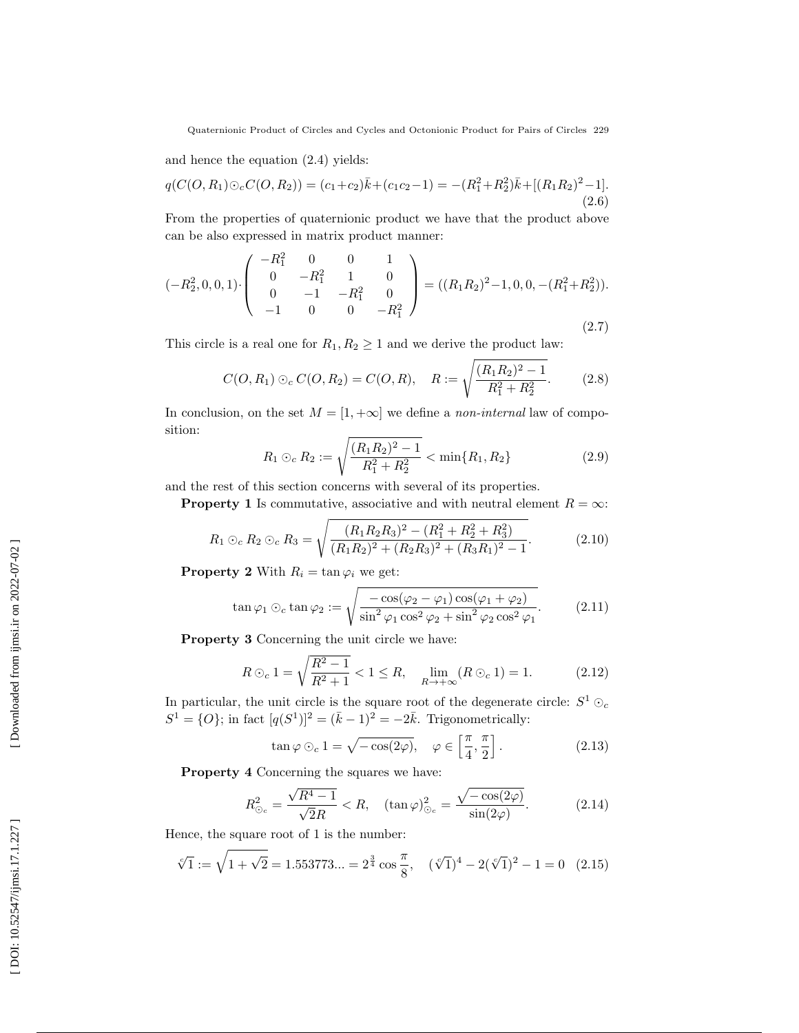Quaternionic Product of Circles and Cycles and Octonionic Product for Pairs of Circles 229

and hence the equation (2 .4) yields:

$$
q(C(O,R_1)\odot_c C(O,R_2)) = (c_1+c_2)\overline{k} + (c_1c_2-1) = -(R_1^2 + R_2^2)\overline{k} + [(R_1R_2)^2 - 1].
$$
\n(2.6)

From the properties of quaternionic product we have that the product above can be also expressed in matrix product manner:

$$
(-R_2^2, 0, 0, 1) \cdot \begin{pmatrix} -R_1^2 & 0 & 0 & 1 \\ 0 & -R_1^2 & 1 & 0 \\ 0 & -1 & -R_1^2 & 0 \\ -1 & 0 & 0 & -R_1^2 \end{pmatrix} = ((R_1 R_2)^2 - 1, 0, 0, -(R_1^2 + R_2^2)).
$$
\n
$$
(2.7)
$$

This circle is a real one for  $R_1, R_2 \geq 1$  and we derive the product law:

$$
C(O, R_1) \odot_c C(O, R_2) = C(O, R), \quad R := \sqrt{\frac{(R_1 R_2)^2 - 1}{R_1^2 + R_2^2}}.
$$
 (2.8)

In conclusion, on the set  $M = [1, +\infty]$  we define a *non-internal* law of composition:

$$
R_1 \odot_c R_2 := \sqrt{\frac{(R_1 R_2)^2 - 1}{R_1^2 + R_2^2}} < \min\{R_1, R_2\}
$$
 (2.9)

and the rest of this section concerns with several of its properties.

**Property 1** Is commutative, associative and with neutral element  $R = \infty$ :

$$
R_1 \odot_c R_2 \odot_c R_3 = \sqrt{\frac{(R_1 R_2 R_3)^2 - (R_1^2 + R_2^2 + R_3^2)}{(R_1 R_2)^2 + (R_2 R_3)^2 + (R_3 R_1)^2 - 1}}.
$$
(2.10)

**Property 2** With  $R_i = \tan \varphi_i$  we get:

$$
\tan \varphi_1 \odot_c \tan \varphi_2 := \sqrt{\frac{-\cos(\varphi_2 - \varphi_1)\cos(\varphi_1 + \varphi_2)}{\sin^2 \varphi_1 \cos^2 \varphi_2 + \sin^2 \varphi_2 \cos^2 \varphi_1}}.
$$
 (2.11)

Property 3 Concerning the unit circle we have:

$$
R \odot_c 1 = \sqrt{\frac{R^2 - 1}{R^2 + 1}} < 1 \le R, \quad \lim_{R \to +\infty} (R \odot_c 1) = 1. \tag{2.12}
$$

In particular, the unit circle is the square root of the degenerate circle:  $S^1 \odot_c$  $S^1 = \{O\}$ ; in fact  $[q(S^1)]^2 = (\bar{k} - 1)^2 = -2\bar{k}$ . Trigonometrically:

$$
\tan \varphi \odot_c 1 = \sqrt{-\cos(2\varphi)}, \quad \varphi \in \left[\frac{\pi}{4}, \frac{\pi}{2}\right]. \tag{2.13}
$$

Property 4 Concerning the squares we have:

$$
R_{\odot_c}^2 = \frac{\sqrt{R^4 - 1}}{\sqrt{2}R} < R, \quad (\tan \varphi)_{\odot_c}^2 = \frac{\sqrt{-\cos(2\varphi)}}{\sin(2\varphi)}. \tag{2.14}
$$

Hence, the square root of 1 is the number:

$$
\sqrt[\varphi]{1} := \sqrt{1 + \sqrt{2}} = 1.553773... = 2^{\frac{3}{4}} \cos \frac{\pi}{8}, \quad (\sqrt[\varphi]{1})^4 - 2(\sqrt[\varphi]{1})^2 - 1 = 0 \quad (2.15)
$$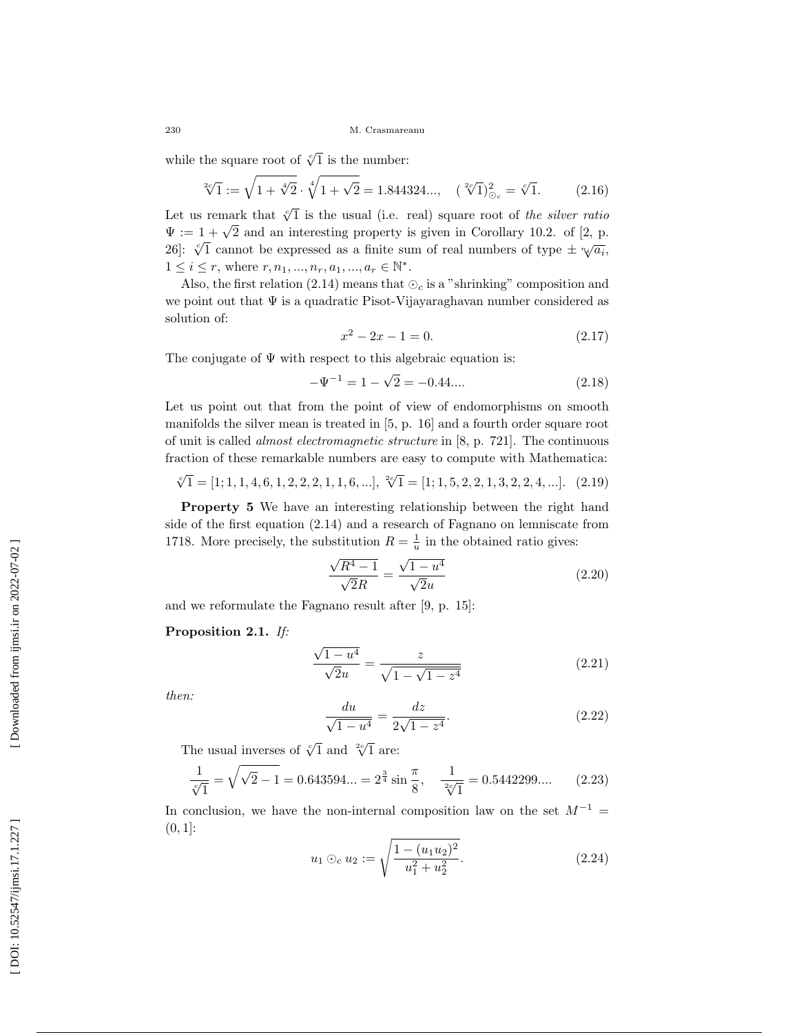while the square root of  $\sqrt[6]{1}$  is the number:

$$
\sqrt[2\zeta]{1} := \sqrt{1 + \sqrt[4]{2}} \cdot \sqrt[4]{1 + \sqrt{2}} = 1.844324..., \quad (\sqrt[2\zeta]{1})^2_{\odot_c} = \sqrt[6]{1}. \tag{2.16}
$$

Let us remark that  $\sqrt[c]{1}$  is the usual (i.e. real) square root of the silver ratio  $\Psi := 1 +$ ili<br>∕ 2 and an interesting property is given in Corollary 10.2. of [2, p.  $\mathcal{L} = 1 + \sqrt{2}$  and an interesting property is given in Coronary 10.2. or [2, p.<br>26]:  $\sqrt{1}$  cannot be expressed as a finite sum of real numbers of type  $\pm \sqrt[n]{a_i}$ ,  $1 \leq i \leq r$ , where  $r, n_1, ..., n_r, a_1, ..., a_r \in \mathbb{N}^*$ .

Also, the first relation (2.14) means that  $\odot_c$  is a "shrinking" composition and we point out that  $\Psi$  is a quadratic Pisot-Vijayaraghavan number considered as solution of:

$$
x^2 - 2x - 1 = 0.\tag{2.17}
$$

The conjugate of  $\Psi$  with respect to this algebraic equation is:

$$
-\Psi^{-1} = 1 - \sqrt{2} = -0.44\dots
$$
 (2.18)

Let us point out that from the point of view of endomorphisms on smooth manifolds the silver mean is treated in [5, p. 16] and a fourth order square root of unit is called almost electromagnetic structure in [8, p. 721]. The continuous fraction of these remarkable numbers are easy to compute with Mathematica:

$$
\sqrt[6]{1} = [1; 1, 1, 4, 6, 1, 2, 2, 2, 1, 1, 6, \ldots], \sqrt[26]{1} = [1; 1, 5, 2, 2, 1, 3, 2, 2, 4, \ldots]. \tag{2.19}
$$

Property 5 We have an interesting relationship between the right hand side of the first equation (2 .14) and a research of Fagnano on lemniscate from 1718. More precisely, the substitution  $R = \frac{1}{u}$  in the obtained ratio gives:

$$
\frac{\sqrt{R^4 - 1}}{\sqrt{2}R} = \frac{\sqrt{1 - u^4}}{\sqrt{2}u}
$$
\n(2.20)

and we reformulate the Fagnano result after [9, p. 15]:

## Proposition 2.1. If:

$$
\frac{\sqrt{1-u^4}}{\sqrt{2u}} = \frac{z}{\sqrt{1-\sqrt{1-z^4}}}
$$
(2.21)

then:

$$
\frac{du}{\sqrt{1 - u^4}} = \frac{dz}{2\sqrt{1 - z^4}}.\tag{2.22}
$$

The usual inverses of  $\sqrt[6]{1}$  and  $\sqrt[2c]{1}$  are:

$$
\frac{1}{\sqrt[6]{1}} = \sqrt{\sqrt{2} - 1} = 0.643594... = 2^{\frac{3}{4}} \sin \frac{\pi}{8}, \quad \frac{1}{\sqrt[2]{1}} = 0.5442299.... \tag{2.23}
$$

In conclusion, we have the non-internal composition law on the set  $M^{-1} =$  $(0, 1]$ :

$$
u_1 \odot_c u_2 := \sqrt{\frac{1 - (u_1 u_2)^2}{u_1^2 + u_2^2}}.
$$
\n(2.24)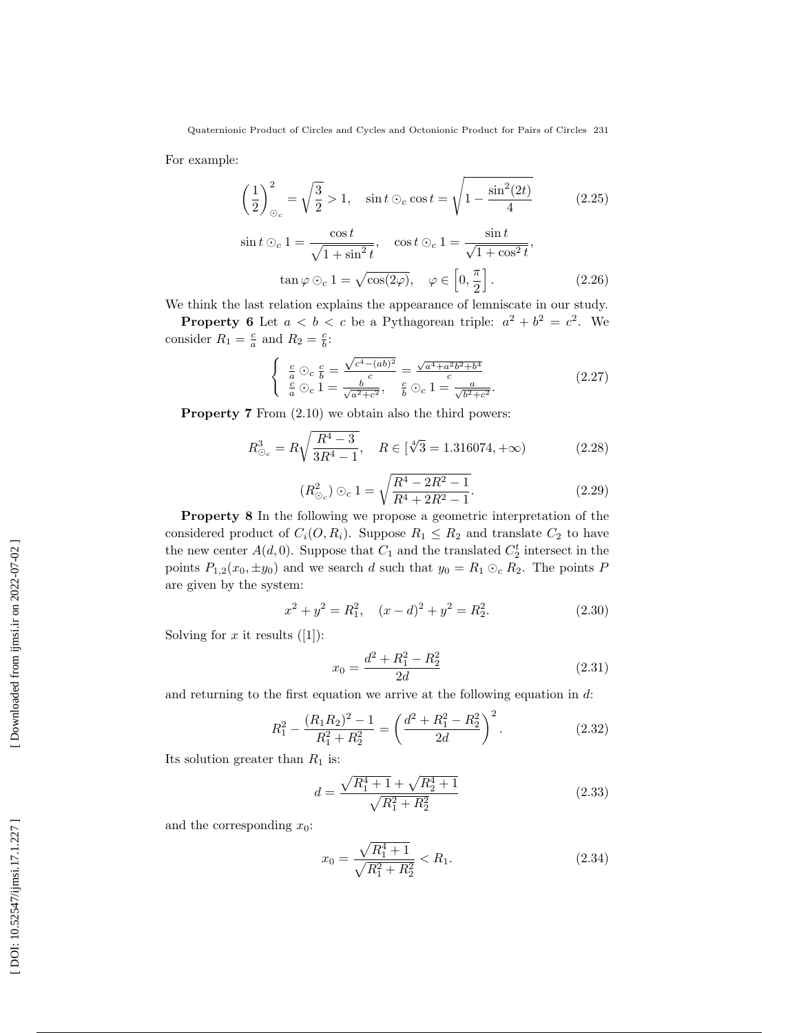Quaternionic Product of Circles and Cycles and Octonionic Product for Pairs of Circles 231

For example:

$$
\left(\frac{1}{2}\right)_{\odot c}^{2} = \sqrt{\frac{3}{2}} > 1, \quad \sin t \odot c \cos t = \sqrt{1 - \frac{\sin^{2}(2t)}{4}} \tag{2.25}
$$

$$
\sin t \odot_c 1 = \frac{\cos t}{\sqrt{1 + \sin^2 t}}, \quad \cos t \odot_c 1 = \frac{\sin t}{\sqrt{1 + \cos^2 t}},
$$

$$
\tan \varphi \odot_c 1 = \sqrt{\cos(2\varphi)}, \quad \varphi \in \left[0, \frac{\pi}{2}\right]. \tag{2.26}
$$

We think the last relation explains the appearance of lemniscate in our study.

**Property 6** Let  $a < b < c$  be a Pythagorean triple:  $a^2 + b^2 = c^2$ . We consider  $R_1 = \frac{c}{a}$  and  $R_2 = \frac{c}{b}$ :

$$
\begin{cases}\n\frac{c}{a} \bigcirc_c \frac{c}{b} = \frac{\sqrt{c^4 - (ab)^2}}{c} = \frac{\sqrt{a^4 + a^2b^2 + b^4}}{c} \\
\frac{c}{a} \bigcirc_c 1 = \frac{b}{\sqrt{a^2 + c^2}}, \quad \frac{c}{b} \bigcirc_c 1 = \frac{a}{\sqrt{b^2 + c^2}}.\n\end{cases} (2.27)
$$

Property 7 From  $(2.10)$  we obtain also the third powers:

$$
R_{\odot_c}^3 = R \sqrt{\frac{R^4 - 3}{3R^4 - 1}}, \quad R \in \left[\sqrt[4]{3} = 1.316074, +\infty\right) \tag{2.28}
$$

$$
(R_{\odot_c}^2) \odot_c 1 = \sqrt{\frac{R^4 - 2R^2 - 1}{R^4 + 2R^2 - 1}}.
$$
\n(2.29)

Property 8 In the following we propose a geometric interpretation of the considered product of  $C_i(0, R_i)$ . Suppose  $R_1 \leq R_2$  and translate  $C_2$  to have the new center  $A(d, 0)$ . Suppose that  $C_1$  and the translated  $C_2^t$  intersect in the points  $P_{1,2}(x_0, \pm y_0)$  and we search d such that  $y_0 = R_1 \odot_c R_2$ . The points P are given by the system:

$$
x^{2} + y^{2} = R_{1}^{2}, \quad (x - d)^{2} + y^{2} = R_{2}^{2}.
$$
 (2.30)

Solving for  $x$  it results  $([1])$ :

$$
x_0 = \frac{d^2 + R_1^2 - R_2^2}{2d} \tag{2.31}
$$

and returning to the first equation we arrive at the following equation in  $d$ :

$$
R_1^2 - \frac{(R_1 R_2)^2 - 1}{R_1^2 + R_2^2} = \left(\frac{d^2 + R_1^2 - R_2^2}{2d}\right)^2.
$$
 (2.32)

Its solution greater than  $R_1$  is:

$$
d = \frac{\sqrt{R_1^4 + 1} + \sqrt{R_2^4 + 1}}{\sqrt{R_1^2 + R_2^2}}
$$
\n(2.33)

and the corresponding  $x_0$ :

$$
x_0 = \frac{\sqrt{R_1^4 + 1}}{\sqrt{R_1^2 + R_2^2}} < R_1. \tag{2.34}
$$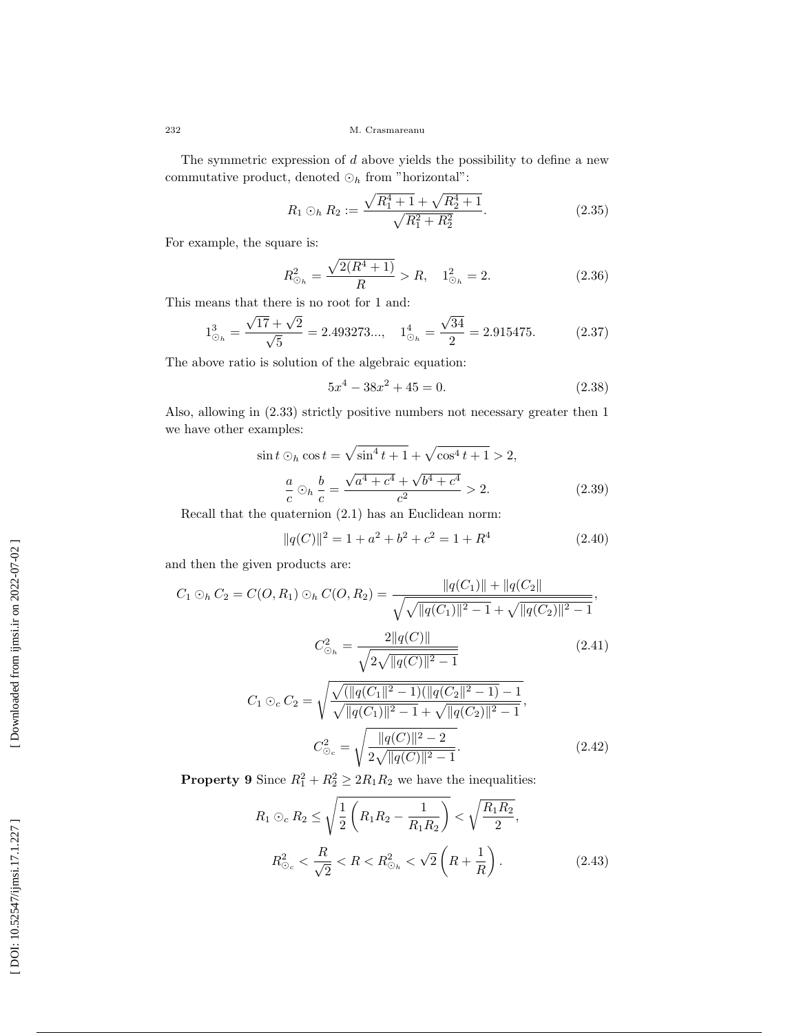232 M. Crasmareanu

The symmetric expression of d above yields the possibility to define a new commutative product, denoted  $\odot_h$  from "horizontal":

$$
R_1 \odot_h R_2 := \frac{\sqrt{R_1^4 + 1} + \sqrt{R_2^4 + 1}}{\sqrt{R_1^2 + R_2^2}}.
$$
\n(2.35)

For example, the square is:

$$
R_{\odot_h}^2 = \frac{\sqrt{2(R^4 + 1)}}{R} > R, \quad 1_{\odot_h}^2 = 2. \tag{2.36}
$$

This means that there is no root for 1 and:  $\overline{(\overline{z})}$ 

$$
1_{\odot_h}^3 = \frac{\sqrt{17} + \sqrt{2}}{\sqrt{5}} = 2.493273..., \quad 1_{\odot_h}^4 = \frac{\sqrt{34}}{2} = 2.915475.
$$
 (2.37)

The above ratio is solution of the algebraic equation:

$$
5x^4 - 38x^2 + 45 = 0.\t(2.38)
$$

Also, allowing in (2 .33) strictly positive numbers not necessary greater then 1 we have other examples:

$$
\sin t \odot_h \cos t = \sqrt{\sin^4 t + 1} + \sqrt{\cos^4 t + 1} > 2,
$$
  

$$
\frac{a}{c} \odot_h \frac{b}{c} = \frac{\sqrt{a^4 + c^4} + \sqrt{b^4 + c^4}}{c^2} > 2.
$$
 (2.39)

Recall that the quaternion (2 .1) has an Euclidean norm:

$$
||q(C)||^2 = 1 + a^2 + b^2 + c^2 = 1 + R^4
$$
\n(2.40)

and then the given products are:

$$
C_1 \odot_h C_2 = C(O, R_1) \odot_h C(O, R_2) = \frac{\|q(C_1)\| + \|q(C_2)\|}{\sqrt{\sqrt{\|q(C_1)\|^2 - 1} + \sqrt{\|q(C_2)\|^2 - 1}}},
$$

$$
C_{\odot_h}^2 = \frac{2\|q(C)\|}{\sqrt{2\sqrt{\|q(C)\|^2 - 1}}} \tag{2.41}
$$

$$
C_1 \odot_c C_2 = \sqrt{\frac{\sqrt{(\|q(C_1\|^2 - 1)(\|q(C_2\|^2 - 1)} - 1)}{\sqrt{\|q(C_1)\|^2 - 1} + \sqrt{\|q(C_2)\|^2 - 1}}}},
$$
  

$$
C_{\odot_c}^2 = \sqrt{\frac{\|q(C)\|^2 - 2}{2\sqrt{\|q(C)\|^2 - 1}}}.
$$
(2.42)

**Property 9** Since  $R_1^2 + R_2^2 \geq 2R_1R_2$  we have the inequalities:

$$
R_1 \odot_c R_2 \le \sqrt{\frac{1}{2} \left( R_1 R_2 - \frac{1}{R_1 R_2} \right)} < \sqrt{\frac{R_1 R_2}{2}},
$$
  

$$
R_{\odot_c}^2 < \frac{R}{\sqrt{2}} < R < R_{\odot_h}^2 < \sqrt{2} \left( R + \frac{1}{R} \right).
$$
 (2.43)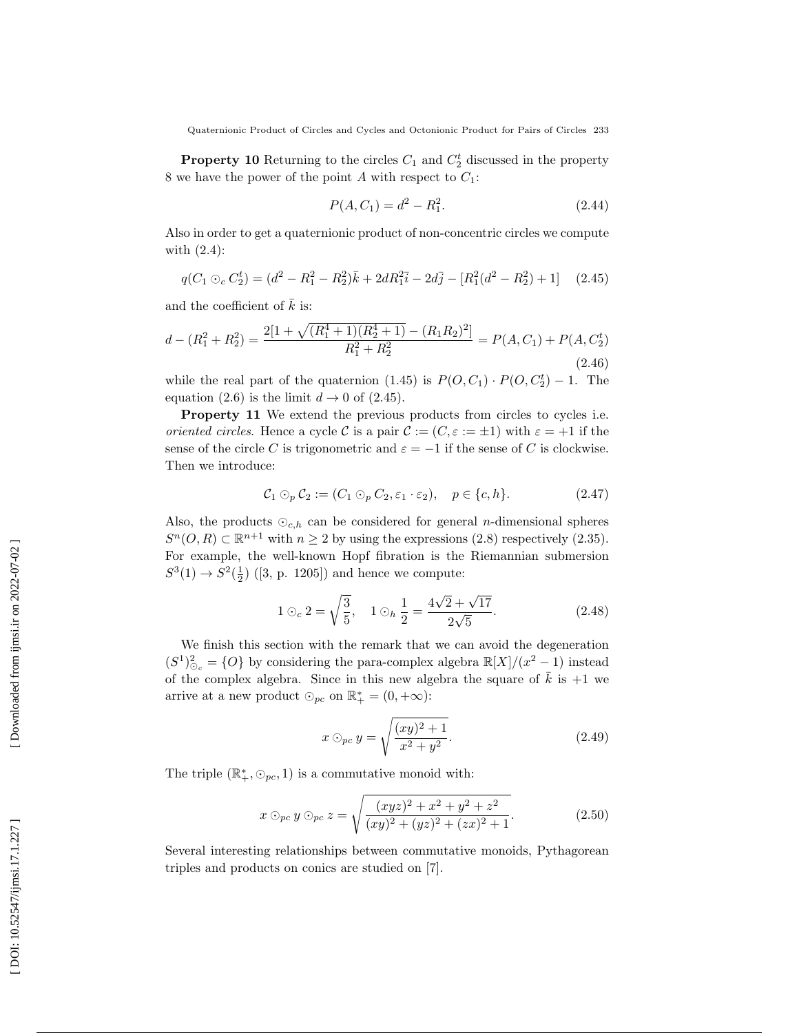Quaternionic Product of Circles and Cycles and Octonionic Product for Pairs of Circles 233

**Property 10** Returning to the circles  $C_1$  and  $C_2^t$  discussed in the property 8 we have the power of the point  $A$  with respect to  $C_1$ :

$$
P(A, C_1) = d^2 - R_1^2. \tag{2.44}
$$

Also in order to get a quaternionic product of non-concentric circles we compute with (2 .4):

$$
q(C_1 \odot_c C_2^t) = (d^2 - R_1^2 - R_2^2)\bar{k} + 2dR_1^2\bar{i} - 2d\bar{j} - [R_1^2(d^2 - R_2^2) + 1] \tag{2.45}
$$

and the coefficient of  $\bar{k}$  is:

$$
d - (R_1^2 + R_2^2) = \frac{2[1 + \sqrt{(R_1^4 + 1)(R_2^4 + 1)} - (R_1 R_2)^2]}{R_1^2 + R_2^2} = P(A, C_1) + P(A, C_2^t)
$$
\n(2.46)

while the real part of the quaternion  $(1.45)$  is  $P(O, C_1) \cdot P(O, C_2^t) - 1$ . The equation (2.6) is the limit  $d \to 0$  of (2.45).

Property 11 We extend the previous products from circles to cycles i.e. oriented circles. Hence a cycle C is a pair  $\mathcal{C} := (C, \varepsilon := \pm 1)$  with  $\varepsilon = +1$  if the sense of the circle C is trigonometric and  $\varepsilon = -1$  if the sense of C is clockwise. Then we introduce:

$$
\mathcal{C}_1 \odot_p \mathcal{C}_2 := (C_1 \odot_p C_2, \varepsilon_1 \cdot \varepsilon_2), \quad p \in \{c, h\}.
$$
 (2.47)

Also, the products  $\odot_{c,h}$  can be considered for general *n*-dimensional spheres  $S<sup>n</sup>(O, R) \subset \mathbb{R}^{n+1}$  with  $n \ge 2$  by using the expressions (2.8) respectively (2.35). For example, the well-known Hopf fibration is the Riemannian submersion  $S^3(1) \to S^2(\frac{1}{2})$  ([3, p. 1205]) and hence we compute:

$$
1 \odot_c 2 = \sqrt{\frac{3}{5}}, \quad 1 \odot_h \frac{1}{2} = \frac{4\sqrt{2} + \sqrt{17}}{2\sqrt{5}}.
$$
 (2.48)

We finish this section with the remark that we can avoid the degeneration  $(S^1)_{\odot_c}^2 = \{O\}$  by considering the para-complex algebra  $\mathbb{R}[X]/(x^2 - 1)$  instead of the complex algebra. Since in this new algebra the square of  $\bar{k}$  is  $+1$  we arrive at a new product  $\odot_{pc}$  on  $\mathbb{R}^*_+ = (0, +\infty)$ :

$$
x \odot_{pc} y = \sqrt{\frac{(xy)^2 + 1}{x^2 + y^2}}.
$$
 (2.49)

The triple  $(\mathbb{R}^*_+, \odot_{pc}, 1)$  is a commutative monoid with:

$$
x \odot_{pc} y \odot_{pc} z = \sqrt{\frac{(xyz)^2 + x^2 + y^2 + z^2}{(xy)^2 + (yz)^2 + (zx)^2 + 1}}.
$$
 (2.50)

Several interesting relationships between commutative monoids, Pythagorean triples and products on conics are studied on [7].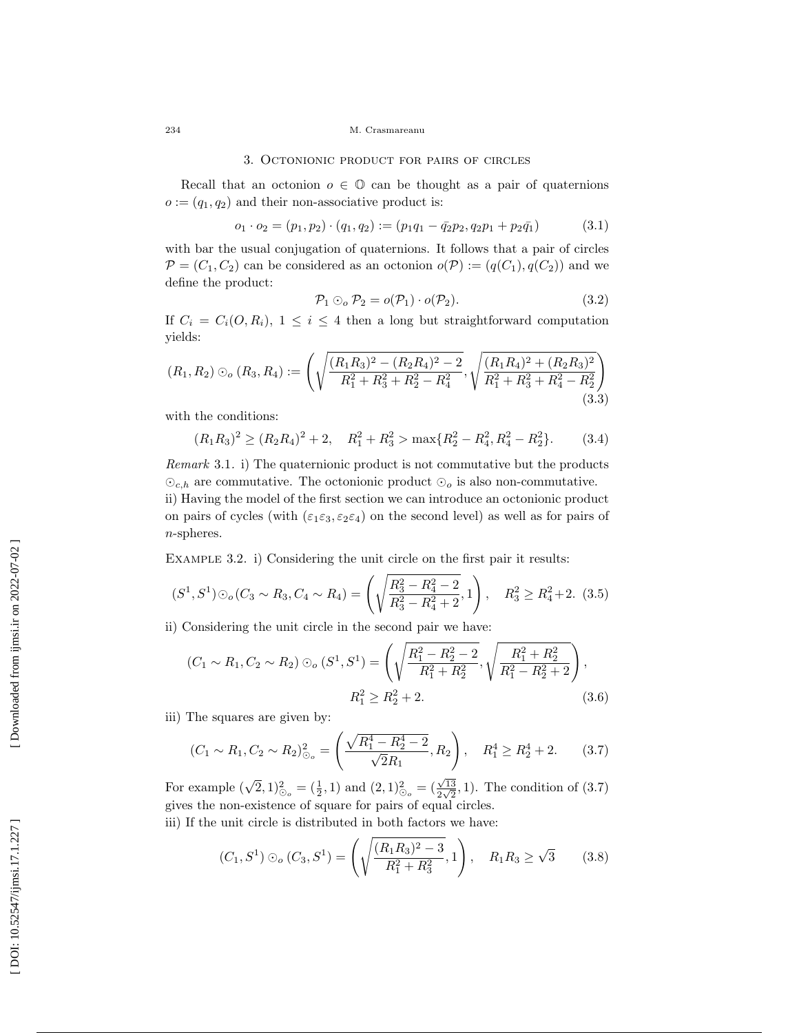#### 234 M. Crasmareanu

### 3. Octonionic product for pairs of circles

Recall that an octonion  $o \in \mathbb{O}$  can be thought as a pair of quaternions  $o := (q_1, q_2)$  and their non-associative product is:

$$
o_1 \cdot o_2 = (p_1, p_2) \cdot (q_1, q_2) := (p_1 q_1 - \bar{q}_2 p_2, q_2 p_1 + p_2 \bar{q}_1) \tag{3.1}
$$

with bar the usual conjugation of quaternions. It follows that a pair of circles  $\mathcal{P} = (C_1, C_2)$  can be considered as an octonion  $o(\mathcal{P}) := (q(C_1), q(C_2))$  and we define the product:

$$
\mathcal{P}_1 \odot_o \mathcal{P}_2 = o(\mathcal{P}_1) \cdot o(\mathcal{P}_2). \tag{3.2}
$$

If  $C_i = C_i(O, R_i), 1 \leq i \leq 4$  then a long but straightforward computation yields:

$$
(R_1, R_2) \odot_o (R_3, R_4) := \left( \sqrt{\frac{(R_1 R_3)^2 - (R_2 R_4)^2 - 2}{R_1^2 + R_3^2 + R_2^2 - R_4^2}}, \sqrt{\frac{(R_1 R_4)^2 + (R_2 R_3)^2}{R_1^2 + R_3^2 + R_4^2 - R_2^2}} \right)
$$
\n(3.3)

with the conditions:

$$
(R_1R_3)^2 \ge (R_2R_4)^2 + 2, \quad R_1^2 + R_3^2 > \max\{R_2^2 - R_4^2, R_4^2 - R_2^2\}.
$$
 (3.4)

Remark 3.1 . i) The quaternionic product is not commutative but the products  $\odot_{c,h}$  are commutative. The octonionic product  $\odot_o$  is also non-commutative. ii) Having the model of the first section we can introduce an octonionic product on pairs of cycles (with  $(\epsilon_1 \epsilon_3, \epsilon_2 \epsilon_4)$ ) on the second level) as well as for pairs of n-spheres.

EXAMPLE 3.2. i) Considering the unit circle on the first pair it results:

$$
(S^1, S^1) \odot_o (C_3 \sim R_3, C_4 \sim R_4) = \left( \sqrt{\frac{R_3^2 - R_4^2 - 2}{R_3^2 - R_4^2 + 2}}, 1 \right), \quad R_3^2 \ge R_4^2 + 2. \tag{3.5}
$$

ii) Considering the unit circle in the second pair we have:

$$
(C_1 \sim R_1, C_2 \sim R_2) \odot_o (S^1, S^1) = \left(\sqrt{\frac{R_1^2 - R_2^2 - 2}{R_1^2 + R_2^2}}, \sqrt{\frac{R_1^2 + R_2^2}{R_1^2 - R_2^2 + 2}}\right),
$$
  

$$
R_1^2 \ge R_2^2 + 2.
$$
 (3.6)

iii) The squares are given by:

$$
(C_1 \sim R_1, C_2 \sim R_2)_{\odot}^2 = \left(\frac{\sqrt{R_1^4 - R_2^4 - 2}}{\sqrt{2}R_1}, R_2\right), \quad R_1^4 \ge R_2^4 + 2. \tag{3.7}
$$

For example (  $\overline{2}$ , 1) $_{\odot_o}^2 = (\frac{1}{2}, 1)$  and  $(2, 1)_{\odot_o}^2 = (\frac{\sqrt{13}}{2\sqrt{2}})$  $\frac{\sqrt{13}}{2\sqrt{2}}, 1$ . The condition of  $(3.7)$ gives the non-existence of square for pairs of equal circles.

iii) If the unit circle is distributed in both factors we have:

$$
(C_1, S^1) \odot_o (C_3, S^1) = \left(\sqrt{\frac{(R_1 R_3)^2 - 3}{R_1^2 + R_3^2}}, 1\right), \quad R_1 R_3 \ge \sqrt{3} \tag{3.8}
$$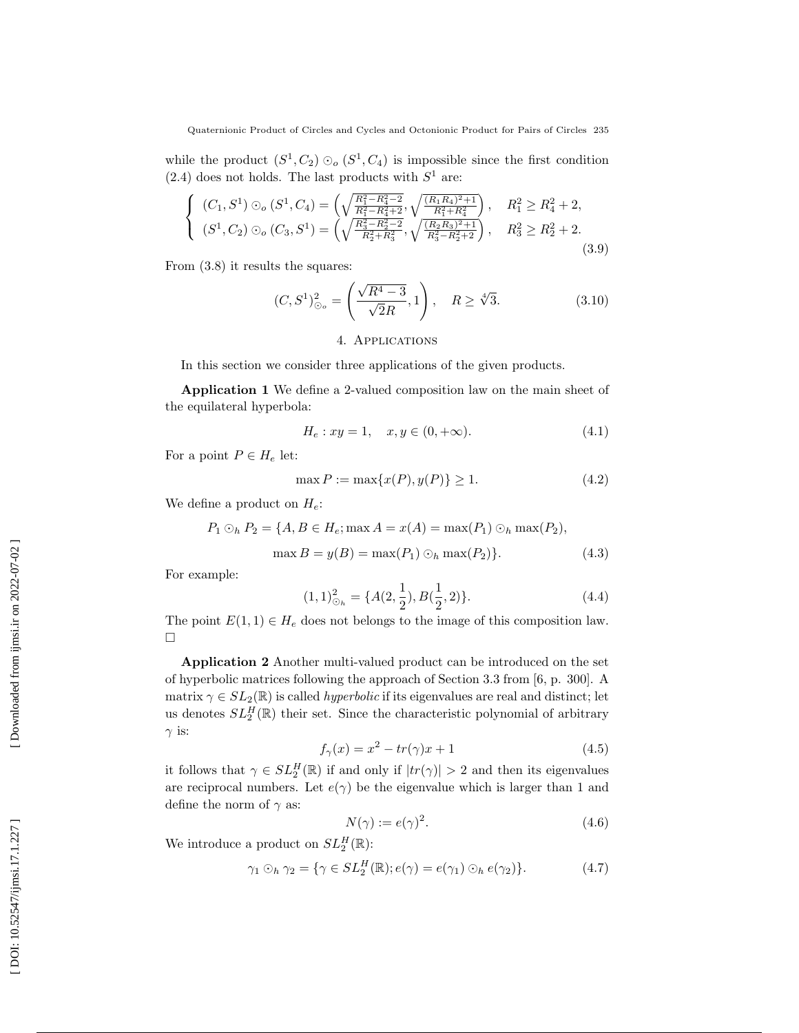while the product  $(S^1, C_2) \odot_o (S^1, C_4)$  is impossible since the first condition  $(2.4)$  does not holds. The last products with  $S<sup>1</sup>$  are:

$$
\begin{cases}\n(C_1, S^1) \odot_o (S^1, C_4) = \left(\sqrt{\frac{R_1^2 - R_4^2 - 2}{R_1^2 - R_4^2 + 2}}, \sqrt{\frac{(R_1 R_4)^2 + 1}{R_1^2 + R_4^2}}\right), & R_1^2 \ge R_4^2 + 2, \\
(S^1, C_2) \odot_o (C_3, S^1) = \left(\sqrt{\frac{R_3^2 - R_2^2 - 2}{R_2^2 + R_3^2}}, \sqrt{\frac{(R_2 R_3)^2 + 1}{R_3^2 - R_2^2 + 2}}\right), & R_3^2 \ge R_2^2 + 2.\n\end{cases}
$$
\n(3.9)

From (3 .8) it results the squares:

$$
(C, S^1)_{\odot}^2 = \left(\frac{\sqrt{R^4 - 3}}{\sqrt{2}R}, 1\right), \quad R \ge \sqrt[4]{3}.
$$
 (3.10)

### 4. Applications

In this section we consider three applications of the given products.

Application 1 We define a 2-valued composition law on the main sheet of the equilateral hyperbola:

$$
H_e: xy = 1, \quad x, y \in (0, +\infty). \tag{4.1}
$$

For a point  $P \in H_e$  let:

$$
\max P := \max\{x(P), y(P)\} \ge 1.
$$
 (4.2)

We define a product on  $H_e$ :

$$
P_1 \odot_h P_2 = \{A, B \in H_e; \max A = x(A) = \max(P_1) \odot_h \max(P_2),
$$

$$
\max B = y(B) = \max(P_1) \odot_h \max(P_2)\}.
$$
 (4.3)

For example:

$$
(1,1)_{\odot_h}^2 = \{A(2,\frac{1}{2}), B(\frac{1}{2},2)\}.
$$
 (4.4)

The point  $E(1,1) \in H_e$  does not belongs to the image of this composition law.  $\Box$ 

Application 2 Another multi-valued product can be introduced on the set of hyperbolic matrices following the approach of Section 3.3 from [6, p. 300]. A matrix  $\gamma \in SL_2(\mathbb{R})$  is called *hyperbolic* if its eigenvalues are real and distinct; let us denotes  $SL_2^H(\mathbb{R})$  their set. Since the characteristic polynomial of arbitrary  $\gamma$  is:

$$
f_{\gamma}(x) = x^2 - tr(\gamma)x + 1\tag{4.5}
$$

it follows that  $\gamma \in SL_2^H(\mathbb{R})$  if and only if  $|tr(\gamma)| > 2$  and then its eigenvalues are reciprocal numbers. Let  $e(\gamma)$  be the eigenvalue which is larger than 1 and define the norm of  $\gamma$  as:

$$
N(\gamma) := e(\gamma)^2. \tag{4.6}
$$

We introduce a product on  $SL_2^H(\mathbb{R})$ :

$$
\gamma_1 \odot_h \gamma_2 = \{ \gamma \in SL_2^H(\mathbb{R}); e(\gamma) = e(\gamma_1) \odot_h e(\gamma_2) \}. \tag{4.7}
$$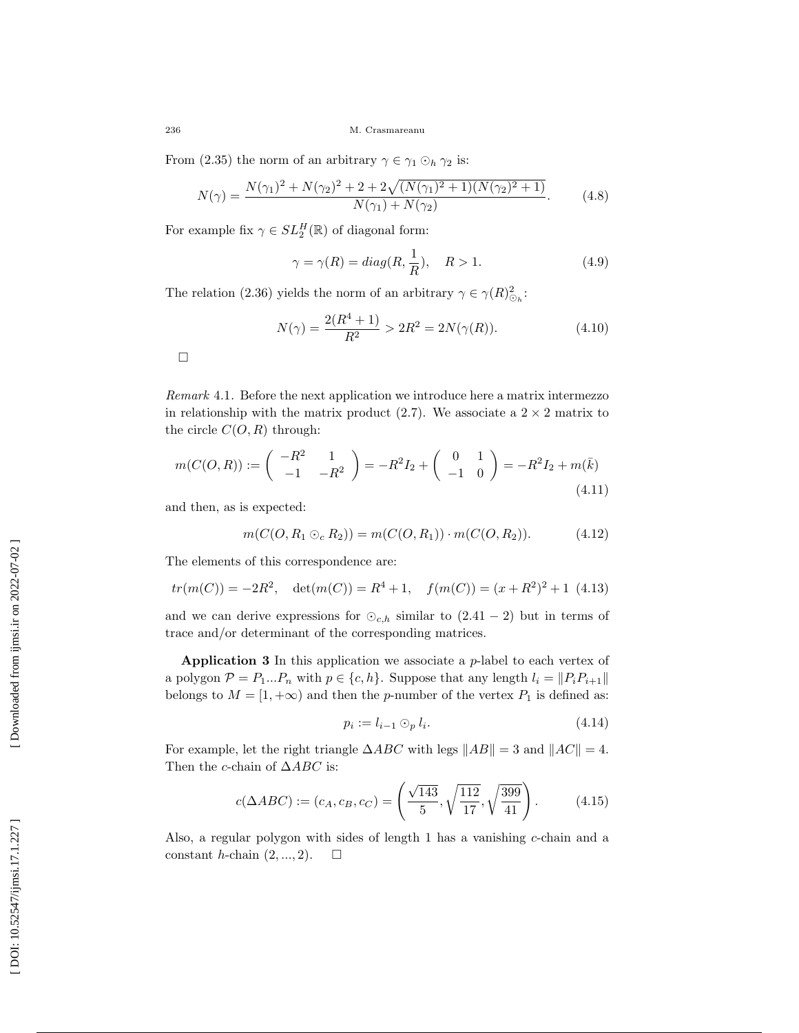From (2.35) the norm of an arbitrary  $\gamma \in \gamma_1 \odot_h \gamma_2$  is:

$$
N(\gamma) = \frac{N(\gamma_1)^2 + N(\gamma_2)^2 + 2 + 2\sqrt{(N(\gamma_1)^2 + 1)(N(\gamma_2)^2 + 1)}}{N(\gamma_1) + N(\gamma_2)}.
$$
 (4.8)

For example fix  $\gamma \in SL_2^H(\mathbb{R})$  of diagonal form:

$$
\gamma = \gamma(R) = diag(R, \frac{1}{R}), \quad R > 1.
$$
\n(4.9)

The relation (2.36) yields the norm of an arbitrary  $\gamma \in \gamma(R)_{\mathcal{O}_h}^2$ :

$$
N(\gamma) = \frac{2(R^4 + 1)}{R^2} > 2R^2 = 2N(\gamma(R)).
$$
\n(4.10)

 $\Box$ 

Remark 4.1 . Before the next application we introduce here a matrix intermezzo in relationship with the matrix product  $(2.7)$ . We associate a  $2 \times 2$  matrix to the circle  $C(O, R)$  through:

$$
m(C(O,R)) := \begin{pmatrix} -R^2 & 1\\ -1 & -R^2 \end{pmatrix} = -R^2 I_2 + \begin{pmatrix} 0 & 1\\ -1 & 0 \end{pmatrix} = -R^2 I_2 + m(\bar{k})
$$
\n(4.11)

and then, as is expected:

$$
m(C(O, R_1 \odot_c R_2)) = m(C(O, R_1)) \cdot m(C(O, R_2)). \tag{4.12}
$$

The elements of this correspondence are:

$$
tr(m(C)) = -2R^2
$$
,  $det(m(C)) = R^4 + 1$ ,  $f(m(C)) = (x + R^2)^2 + 1$  (4.13)

and we can derive expressions for  $\odot_{c,h}$  similar to  $(2.41 - 2)$  but in terms of trace and/or determinant of the corresponding matrices.

Application 3 In this application we associate a p-label to each vertex of a polygon  $P = P_1...P_n$  with  $p \in \{c, h\}$ . Suppose that any length  $l_i = ||P_i P_{i+1}||$ belongs to  $M = [1, +\infty)$  and then the *p*-number of the vertex  $P_1$  is defined as:

$$
p_i := l_{i-1} \odot_p l_i. \tag{4.14}
$$

For example, let the right triangle  $\triangle ABC$  with legs  $||AB|| = 3$  and  $||AC|| = 4$ . Then the *c*-chain of  $\triangle ABC$  is:

$$
c(\Delta ABC) := (c_A, c_B, c_C) = \left(\frac{\sqrt{143}}{5}, \sqrt{\frac{112}{17}}, \sqrt{\frac{399}{41}}\right). \tag{4.15}
$$

Also, a regular polygon with sides of length 1 has a vanishing c-chain and a constant *h*-chain  $(2, ..., 2)$ .  $\Box$